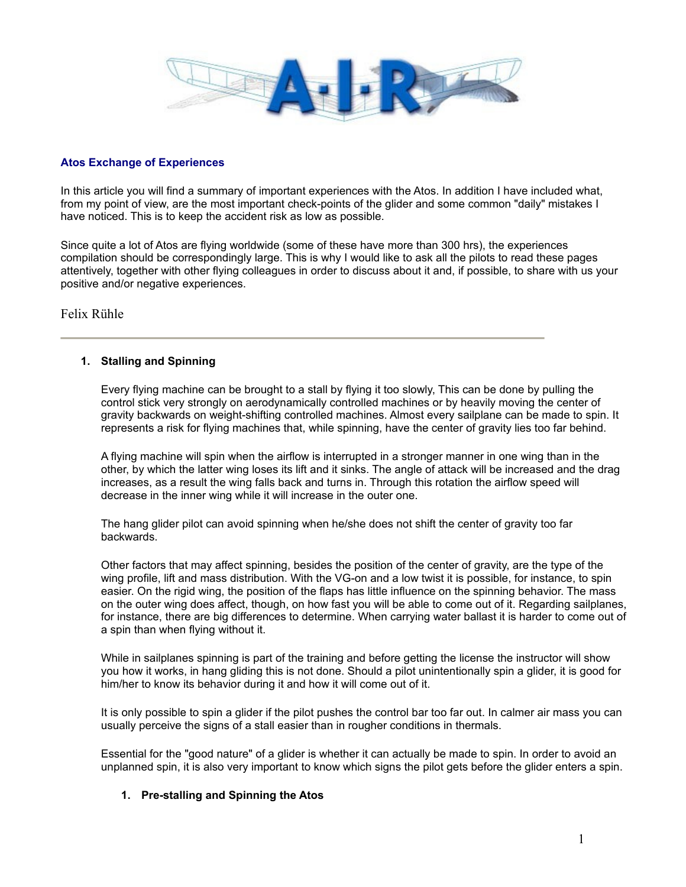

## **Atos Exchange of Experiences**

In this article you will find a summary of important experiences with the Atos. In addition I have included what, from my point of view, are the most important check-points of the glider and some common "daily" mistakes I have noticed. This is to keep the accident risk as low as possible.

Since quite a lot of Atos are flying worldwide (some of these have more than 300 hrs), the experiences compilation should be correspondingly large. This is why I would like to ask all the pilots to read these pages attentively, together with other flying colleagues in order to discuss about it and, if possible, to share with us your positive and/or negative experiences.

Felix Rühle

## **1. Stalling and Spinning**

Every flying machine can be brought to a stall by flying it too slowly, This can be done by pulling the control stick very strongly on aerodynamically controlled machines or by heavily moving the center of gravity backwards on weight-shifting controlled machines. Almost every sailplane can be made to spin. It represents a risk for flying machines that, while spinning, have the center of gravity lies too far behind.

A flying machine will spin when the airflow is interrupted in a stronger manner in one wing than in the other, by which the latter wing loses its lift and it sinks. The angle of attack will be increased and the drag increases, as a result the wing falls back and turns in. Through this rotation the airflow speed will decrease in the inner wing while it will increase in the outer one.

The hang glider pilot can avoid spinning when he/she does not shift the center of gravity too far backwards.

Other factors that may affect spinning, besides the position of the center of gravity, are the type of the wing profile, lift and mass distribution. With the VG-on and a low twist it is possible, for instance, to spin easier. On the rigid wing, the position of the flaps has little influence on the spinning behavior. The mass on the outer wing does affect, though, on how fast you will be able to come out of it. Regarding sailplanes, for instance, there are big differences to determine. When carrying water ballast it is harder to come out of a spin than when flying without it.

While in sailplanes spinning is part of the training and before getting the license the instructor will show you how it works, in hang gliding this is not done. Should a pilot unintentionally spin a glider, it is good for him/her to know its behavior during it and how it will come out of it.

It is only possible to spin a glider if the pilot pushes the control bar too far out. In calmer air mass you can usually perceive the signs of a stall easier than in rougher conditions in thermals.

Essential for the "good nature" of a glider is whether it can actually be made to spin. In order to avoid an unplanned spin, it is also very important to know which signs the pilot gets before the glider enters a spin.

### **1. Pre-stalling and Spinning the Atos**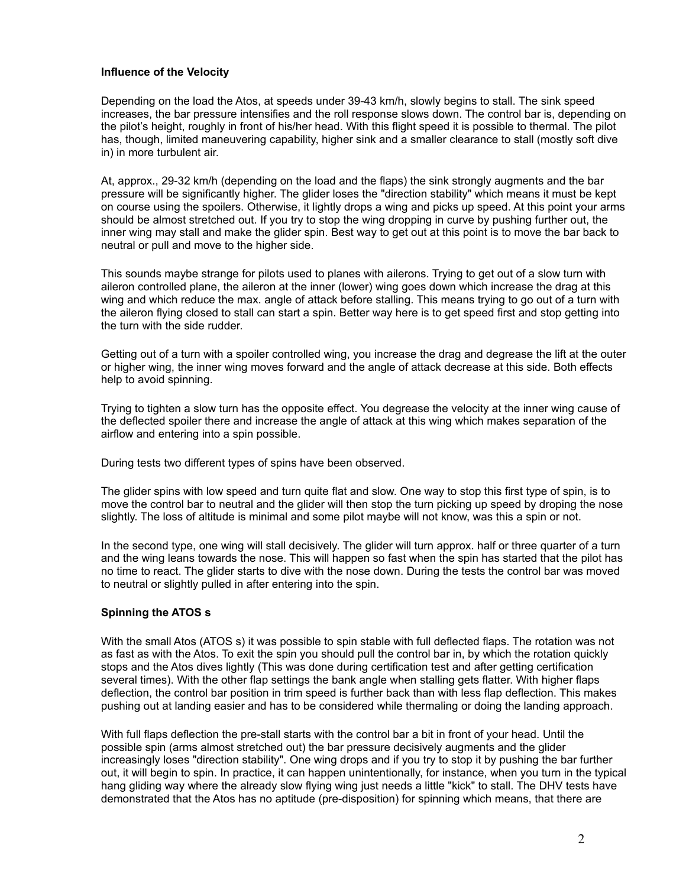## **Influence of the Velocity**

Depending on the load the Atos, at speeds under 39-43 km/h, slowly begins to stall. The sink speed increases, the bar pressure intensifies and the roll response slows down. The control bar is, depending on the pilot's height, roughly in front of his/her head. With this flight speed it is possible to thermal. The pilot has, though, limited maneuvering capability, higher sink and a smaller clearance to stall (mostly soft dive in) in more turbulent air.

At, approx., 29-32 km/h (depending on the load and the flaps) the sink strongly augments and the bar pressure will be significantly higher. The glider loses the "direction stability" which means it must be kept on course using the spoilers. Otherwise, it lightly drops a wing and picks up speed. At this point your arms should be almost stretched out. If you try to stop the wing dropping in curve by pushing further out, the inner wing may stall and make the glider spin. Best way to get out at this point is to move the bar back to neutral or pull and move to the higher side.

This sounds maybe strange for pilots used to planes with ailerons. Trying to get out of a slow turn with aileron controlled plane, the aileron at the inner (lower) wing goes down which increase the drag at this wing and which reduce the max. angle of attack before stalling. This means trying to go out of a turn with the aileron flying closed to stall can start a spin. Better way here is to get speed first and stop getting into the turn with the side rudder.

Getting out of a turn with a spoiler controlled wing, you increase the drag and degrease the lift at the outer or higher wing, the inner wing moves forward and the angle of attack decrease at this side. Both effects help to avoid spinning.

Trying to tighten a slow turn has the opposite effect. You degrease the velocity at the inner wing cause of the deflected spoiler there and increase the angle of attack at this wing which makes separation of the airflow and entering into a spin possible.

During tests two different types of spins have been observed.

The glider spins with low speed and turn quite flat and slow. One way to stop this first type of spin, is to move the control bar to neutral and the glider will then stop the turn picking up speed by droping the nose slightly. The loss of altitude is minimal and some pilot maybe will not know, was this a spin or not.

In the second type, one wing will stall decisively. The glider will turn approx. half or three quarter of a turn and the wing leans towards the nose. This will happen so fast when the spin has started that the pilot has no time to react. The glider starts to dive with the nose down. During the tests the control bar was moved to neutral or slightly pulled in after entering into the spin.

# **Spinning the ATOS s**

With the small Atos (ATOS s) it was possible to spin stable with full deflected flaps. The rotation was not as fast as with the Atos. To exit the spin you should pull the control bar in, by which the rotation quickly stops and the Atos dives lightly (This was done during certification test and after getting certification several times). With the other flap settings the bank angle when stalling gets flatter. With higher flaps deflection, the control bar position in trim speed is further back than with less flap deflection. This makes pushing out at landing easier and has to be considered while thermaling or doing the landing approach.

With full flaps deflection the pre-stall starts with the control bar a bit in front of your head. Until the possible spin (arms almost stretched out) the bar pressure decisively augments and the glider increasingly loses "direction stability". One wing drops and if you try to stop it by pushing the bar further out, it will begin to spin. In practice, it can happen unintentionally, for instance, when you turn in the typical hang gliding way where the already slow flying wing just needs a little "kick" to stall. The DHV tests have demonstrated that the Atos has no aptitude (pre-disposition) for spinning which means, that there are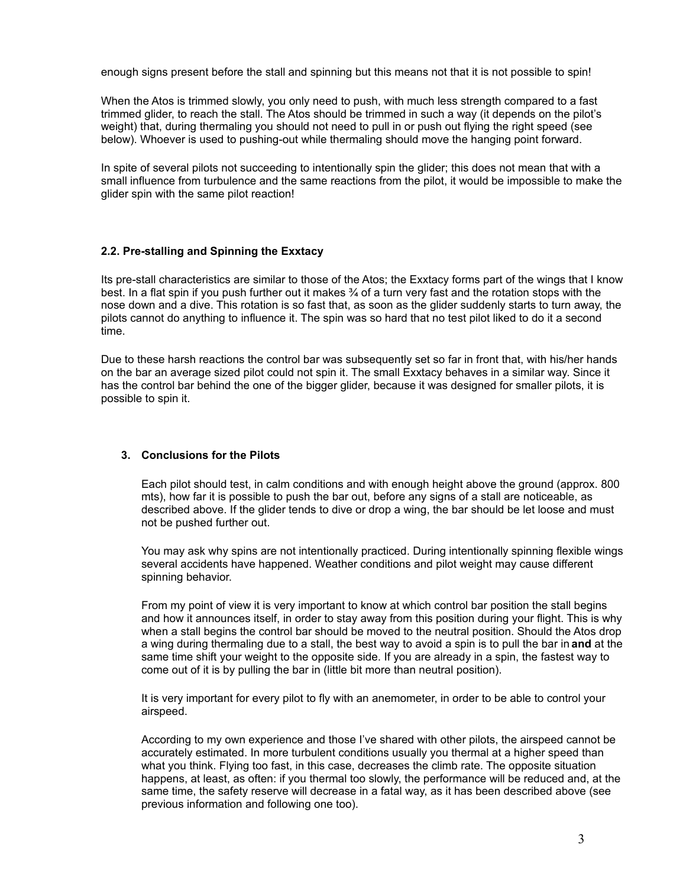enough signs present before the stall and spinning but this means not that it is not possible to spin!

When the Atos is trimmed slowly, you only need to push, with much less strength compared to a fast trimmed glider, to reach the stall. The Atos should be trimmed in such a way (it depends on the pilot's weight) that, during thermaling you should not need to pull in or push out flying the right speed (see below). Whoever is used to pushing-out while thermaling should move the hanging point forward.

In spite of several pilots not succeeding to intentionally spin the glider; this does not mean that with a small influence from turbulence and the same reactions from the pilot, it would be impossible to make the glider spin with the same pilot reaction!

## **2.2. Pre-stalling and Spinning the Exxtacy**

Its pre-stall characteristics are similar to those of the Atos; the Exxtacy forms part of the wings that I know best. In a flat spin if you push further out it makes ¾ of a turn very fast and the rotation stops with the nose down and a dive. This rotation is so fast that, as soon as the glider suddenly starts to turn away, the pilots cannot do anything to influence it. The spin was so hard that no test pilot liked to do it a second time.

Due to these harsh reactions the control bar was subsequently set so far in front that, with his/her hands on the bar an average sized pilot could not spin it. The small Exxtacy behaves in a similar way. Since it has the control bar behind the one of the bigger glider, because it was designed for smaller pilots, it is possible to spin it.

### **3. Conclusions for the Pilots**

Each pilot should test, in calm conditions and with enough height above the ground (approx. 800 mts), how far it is possible to push the bar out, before any signs of a stall are noticeable, as described above. If the glider tends to dive or drop a wing, the bar should be let loose and must not be pushed further out.

You may ask why spins are not intentionally practiced. During intentionally spinning flexible wings several accidents have happened. Weather conditions and pilot weight may cause different spinning behavior.

From my point of view it is very important to know at which control bar position the stall begins and how it announces itself, in order to stay away from this position during your flight. This is why when a stall begins the control bar should be moved to the neutral position. Should the Atos drop a wing during thermaling due to a stall, the best way to avoid a spin is to pull the bar in **and** at the same time shift your weight to the opposite side. If you are already in a spin, the fastest way to come out of it is by pulling the bar in (little bit more than neutral position).

It is very important for every pilot to fly with an anemometer, in order to be able to control your airspeed.

According to my own experience and those I've shared with other pilots, the airspeed cannot be accurately estimated. In more turbulent conditions usually you thermal at a higher speed than what you think. Flying too fast, in this case, decreases the climb rate. The opposite situation happens, at least, as often: if you thermal too slowly, the performance will be reduced and, at the same time, the safety reserve will decrease in a fatal way, as it has been described above (see previous information and following one too).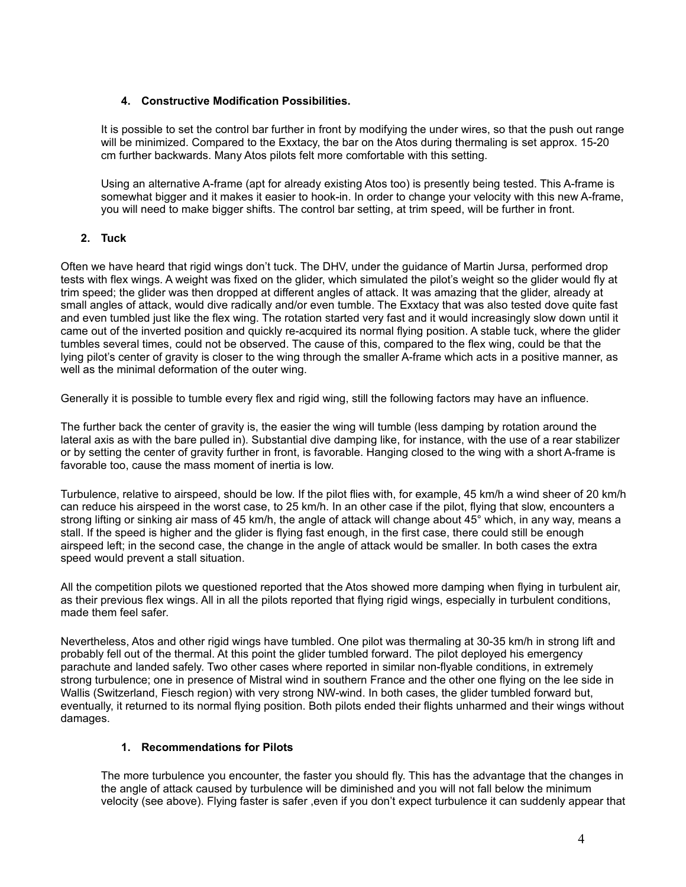# **4. Constructive Modification Possibilities.**

It is possible to set the control bar further in front by modifying the under wires, so that the push out range will be minimized. Compared to the Exxtacy, the bar on the Atos during thermaling is set approx. 15-20 cm further backwards. Many Atos pilots felt more comfortable with this setting.

Using an alternative A-frame (apt for already existing Atos too) is presently being tested. This A-frame is somewhat bigger and it makes it easier to hook-in. In order to change your velocity with this new A-frame, you will need to make bigger shifts. The control bar setting, at trim speed, will be further in front.

# **2. Tuck**

Often we have heard that rigid wings don't tuck. The DHV, under the guidance of Martin Jursa, performed drop tests with flex wings. A weight was fixed on the glider, which simulated the pilot's weight so the glider would fly at trim speed; the glider was then dropped at different angles of attack. It was amazing that the glider, already at small angles of attack, would dive radically and/or even tumble. The Exxtacy that was also tested dove quite fast and even tumbled just like the flex wing. The rotation started very fast and it would increasingly slow down until it came out of the inverted position and quickly re-acquired its normal flying position. A stable tuck, where the glider tumbles several times, could not be observed. The cause of this, compared to the flex wing, could be that the lying pilot's center of gravity is closer to the wing through the smaller A-frame which acts in a positive manner, as well as the minimal deformation of the outer wing.

Generally it is possible to tumble every flex and rigid wing, still the following factors may have an influence.

The further back the center of gravity is, the easier the wing will tumble (less damping by rotation around the lateral axis as with the bare pulled in). Substantial dive damping like, for instance, with the use of a rear stabilizer or by setting the center of gravity further in front, is favorable. Hanging closed to the wing with a short A-frame is favorable too, cause the mass moment of inertia is low.

Turbulence, relative to airspeed, should be low. If the pilot flies with, for example, 45 km/h a wind sheer of 20 km/h can reduce his airspeed in the worst case, to 25 km/h. In an other case if the pilot, flying that slow, encounters a strong lifting or sinking air mass of 45 km/h, the angle of attack will change about 45° which, in any way, means a stall. If the speed is higher and the glider is flying fast enough, in the first case, there could still be enough airspeed left; in the second case, the change in the angle of attack would be smaller. In both cases the extra speed would prevent a stall situation.

All the competition pilots we questioned reported that the Atos showed more damping when flying in turbulent air, as their previous flex wings. All in all the pilots reported that flying rigid wings, especially in turbulent conditions, made them feel safer.

Nevertheless, Atos and other rigid wings have tumbled. One pilot was thermaling at 30-35 km/h in strong lift and probably fell out of the thermal. At this point the glider tumbled forward. The pilot deployed his emergency parachute and landed safely. Two other cases where reported in similar non-flyable conditions, in extremely strong turbulence; one in presence of Mistral wind in southern France and the other one flying on the lee side in Wallis (Switzerland, Fiesch region) with very strong NW-wind. In both cases, the glider tumbled forward but, eventually, it returned to its normal flying position. Both pilots ended their flights unharmed and their wings without damages.

# **1. Recommendations for Pilots**

The more turbulence you encounter, the faster you should fly. This has the advantage that the changes in the angle of attack caused by turbulence will be diminished and you will not fall below the minimum velocity (see above). Flying faster is safer ,even if you don't expect turbulence it can suddenly appear that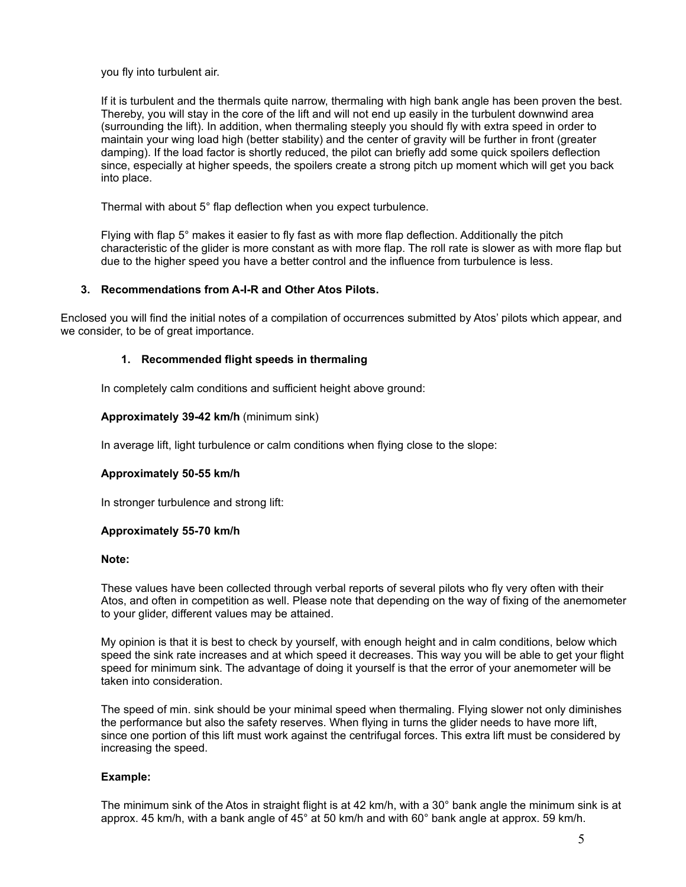you fly into turbulent air.

If it is turbulent and the thermals quite narrow, thermaling with high bank angle has been proven the best. Thereby, you will stay in the core of the lift and will not end up easily in the turbulent downwind area (surrounding the lift). In addition, when thermaling steeply you should fly with extra speed in order to maintain your wing load high (better stability) and the center of gravity will be further in front (greater damping). If the load factor is shortly reduced, the pilot can briefly add some quick spoilers deflection since, especially at higher speeds, the spoilers create a strong pitch up moment which will get you back into place.

Thermal with about 5° flap deflection when you expect turbulence.

Flying with flap 5° makes it easier to fly fast as with more flap deflection. Additionally the pitch characteristic of the glider is more constant as with more flap. The roll rate is slower as with more flap but due to the higher speed you have a better control and the influence from turbulence is less.

## **3. Recommendations from A-I-R and Other Atos Pilots.**

Enclosed you will find the initial notes of a compilation of occurrences submitted by Atos' pilots which appear, and we consider, to be of great importance.

## **1. Recommended flight speeds in thermaling**

In completely calm conditions and sufficient height above ground:

## **Approximately 39-42 km/h** (minimum sink)

In average lift, light turbulence or calm conditions when flying close to the slope:

### **Approximately 50-55 km/h**

In stronger turbulence and strong lift:

### **Approximately 55-70 km/h**

#### **Note:**

These values have been collected through verbal reports of several pilots who fly very often with their Atos, and often in competition as well. Please note that depending on the way of fixing of the anemometer to your glider, different values may be attained.

My opinion is that it is best to check by yourself, with enough height and in calm conditions, below which speed the sink rate increases and at which speed it decreases. This way you will be able to get your flight speed for minimum sink. The advantage of doing it yourself is that the error of your anemometer will be taken into consideration.

The speed of min. sink should be your minimal speed when thermaling. Flying slower not only diminishes the performance but also the safety reserves. When flying in turns the glider needs to have more lift, since one portion of this lift must work against the centrifugal forces. This extra lift must be considered by increasing the speed.

### **Example:**

The minimum sink of the Atos in straight flight is at 42 km/h, with a 30° bank angle the minimum sink is at approx. 45 km/h, with a bank angle of 45° at 50 km/h and with 60° bank angle at approx. 59 km/h.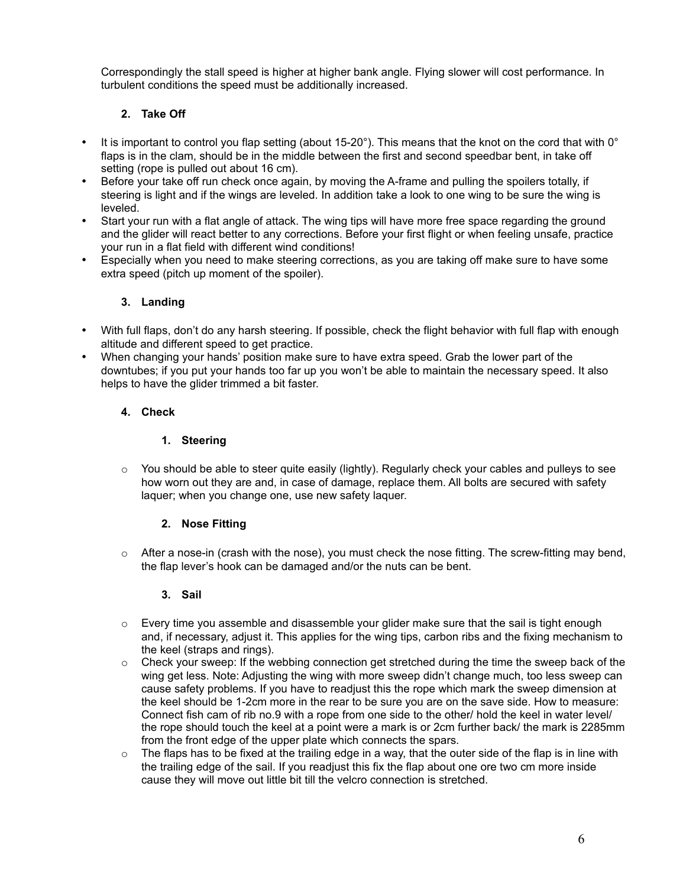Correspondingly the stall speed is higher at higher bank angle. Flying slower will cost performance. In turbulent conditions the speed must be additionally increased.

# **2. Take Off**

- It is important to control you flap setting (about 15-20°). This means that the knot on the cord that with 0° flaps is in the clam, should be in the middle between the first and second speedbar bent, in take off setting (rope is pulled out about 16 cm).
- Before your take off run check once again, by moving the A-frame and pulling the spoilers totally, if steering is light and if the wings are leveled. In addition take a look to one wing to be sure the wing is leveled.
- Start your run with a flat angle of attack. The wing tips will have more free space regarding the ground and the glider will react better to any corrections. Before your first flight or when feeling unsafe, practice your run in a flat field with different wind conditions!
- Especially when you need to make steering corrections, as you are taking off make sure to have some extra speed (pitch up moment of the spoiler).

# **3. Landing**

- With full flaps, don't do any harsh steering. If possible, check the flight behavior with full flap with enough altitude and different speed to get practice.
- When changing your hands' position make sure to have extra speed. Grab the lower part of the downtubes; if you put your hands too far up you won't be able to maintain the necessary speed. It also helps to have the glider trimmed a bit faster.

# **4. Check**

# **1. Steering**

 $\circ$  You should be able to steer quite easily (lightly). Regularly check your cables and pulleys to see how worn out they are and, in case of damage, replace them. All bolts are secured with safety laquer; when you change one, use new safety laquer.

# **2. Nose Fitting**

 $\circ$  After a nose-in (crash with the nose), you must check the nose fitting. The screw-fitting may bend, the flap lever's hook can be damaged and/or the nuts can be bent.

# **3. Sail**

- $\circ$  Every time you assemble and disassemble your glider make sure that the sail is tight enough and, if necessary, adjust it. This applies for the wing tips, carbon ribs and the fixing mechanism to the keel (straps and rings).
- $\circ$  Check your sweep: If the webbing connection get stretched during the time the sweep back of the wing get less. Note: Adjusting the wing with more sweep didn't change much, too less sweep can cause safety problems. If you have to readjust this the rope which mark the sweep dimension at the keel should be 1-2cm more in the rear to be sure you are on the save side. How to measure: Connect fish cam of rib no.9 with a rope from one side to the other/ hold the keel in water level/ the rope should touch the keel at a point were a mark is or 2cm further back/ the mark is 2285mm from the front edge of the upper plate which connects the spars.
- $\circ$  The flaps has to be fixed at the trailing edge in a way, that the outer side of the flap is in line with the trailing edge of the sail. If you readjust this fix the flap about one ore two cm more inside cause they will move out little bit till the velcro connection is stretched.